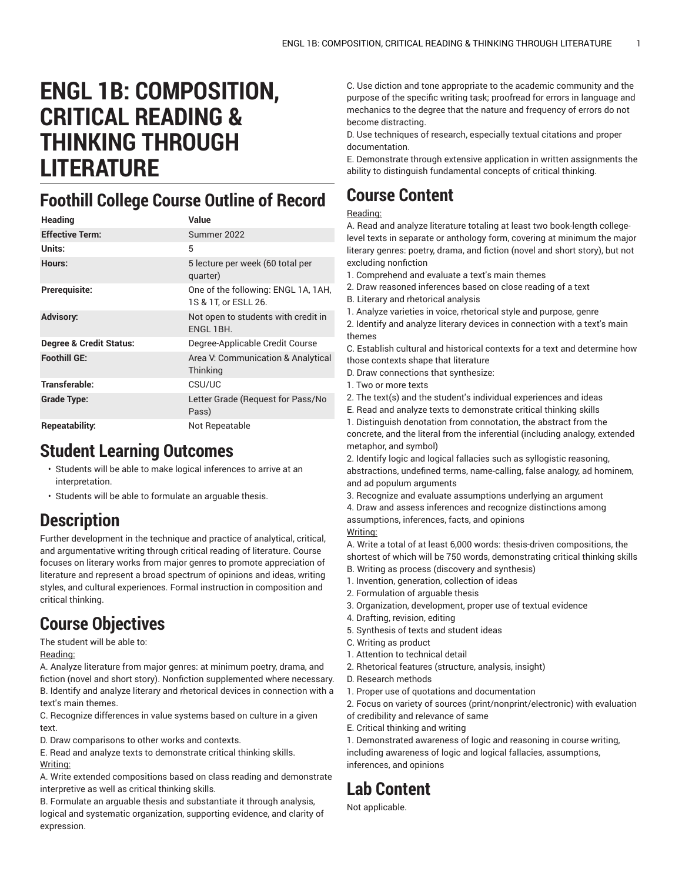# **ENGL 1B: COMPOSITION, CRITICAL READING & THINKING THROUGH LITERATURE**

#### **Foothill College Course Outline of Record**

| Heading                 | Value                                                       |
|-------------------------|-------------------------------------------------------------|
| <b>Effective Term:</b>  | Summer 2022                                                 |
| Units:                  | 5                                                           |
| Hours:                  | 5 lecture per week (60 total per<br>quarter)                |
| Prerequisite:           | One of the following: ENGL 1A, 1AH,<br>1S & 1T, or ESLL 26. |
| <b>Advisory:</b>        | Not open to students with credit in<br>ENGL 1BH.            |
| Degree & Credit Status: | Degree-Applicable Credit Course                             |
| <b>Foothill GE:</b>     | Area V: Communication & Analytical<br>Thinking              |
| Transferable:           | CSU/UC                                                      |
| <b>Grade Type:</b>      | Letter Grade (Request for Pass/No<br>Pass)                  |
| <b>Repeatability:</b>   | Not Repeatable                                              |

#### **Student Learning Outcomes**

- Students will be able to make logical inferences to arrive at an interpretation.
- Students will be able to formulate an arguable thesis.

#### **Description**

Further development in the technique and practice of analytical, critical, and argumentative writing through critical reading of literature. Course focuses on literary works from major genres to promote appreciation of literature and represent a broad spectrum of opinions and ideas, writing styles, and cultural experiences. Formal instruction in composition and critical thinking.

# **Course Objectives**

#### The student will be able to:

Reading:

A. Analyze literature from major genres: at minimum poetry, drama, and fiction (novel and short story). Nonfiction supplemented where necessary. B. Identify and analyze literary and rhetorical devices in connection with a text's main themes.

C. Recognize differences in value systems based on culture in a given text.

D. Draw comparisons to other works and contexts.

E. Read and analyze texts to demonstrate critical thinking skills. Writing:

A. Write extended compositions based on class reading and demonstrate interpretive as well as critical thinking skills.

B. Formulate an arguable thesis and substantiate it through analysis, logical and systematic organization, supporting evidence, and clarity of expression.

C. Use diction and tone appropriate to the academic community and the purpose of the specific writing task; proofread for errors in language and mechanics to the degree that the nature and frequency of errors do not become distracting.

D. Use techniques of research, especially textual citations and proper documentation.

E. Demonstrate through extensive application in written assignments the ability to distinguish fundamental concepts of critical thinking.

# **Course Content**

#### Reading:

A. Read and analyze literature totaling at least two book-length collegelevel texts in separate or anthology form, covering at minimum the major literary genres: poetry, drama, and fiction (novel and short story), but not excluding nonfiction

- 1. Comprehend and evaluate a text's main themes
- 2. Draw reasoned inferences based on close reading of a text
- B. Literary and rhetorical analysis
- 1. Analyze varieties in voice, rhetorical style and purpose, genre

2. Identify and analyze literary devices in connection with a text's main themes

C. Establish cultural and historical contexts for a text and determine how those contexts shape that literature

- D. Draw connections that synthesize:
- 1. Two or more texts
- 2. The text(s) and the student's individual experiences and ideas
- E. Read and analyze texts to demonstrate critical thinking skills

1. Distinguish denotation from connotation, the abstract from the concrete, and the literal from the inferential (including analogy, extended metaphor, and symbol)

2. Identify logic and logical fallacies such as syllogistic reasoning, abstractions, undefined terms, name-calling, false analogy, ad hominem, and ad populum arguments

- 3. Recognize and evaluate assumptions underlying an argument
- 4. Draw and assess inferences and recognize distinctions among

assumptions, inferences, facts, and opinions

Writing:

A. Write a total of at least 6,000 words: thesis-driven compositions, the shortest of which will be 750 words, demonstrating critical thinking skills B. Writing as process (discovery and synthesis)

- 1. Invention, generation, collection of ideas
- 2. Formulation of arguable thesis
- 3. Organization, development, proper use of textual evidence
- 4. Drafting, revision, editing
- 5. Synthesis of texts and student ideas
- C. Writing as product
- 1. Attention to technical detail
- 2. Rhetorical features (structure, analysis, insight)
- D. Research methods
- 1. Proper use of quotations and documentation
- 2. Focus on variety of sources (print/nonprint/electronic) with evaluation
- of credibility and relevance of same
- E. Critical thinking and writing

1. Demonstrated awareness of logic and reasoning in course writing, including awareness of logic and logical fallacies, assumptions, inferences, and opinions

### **Lab Content**

Not applicable.